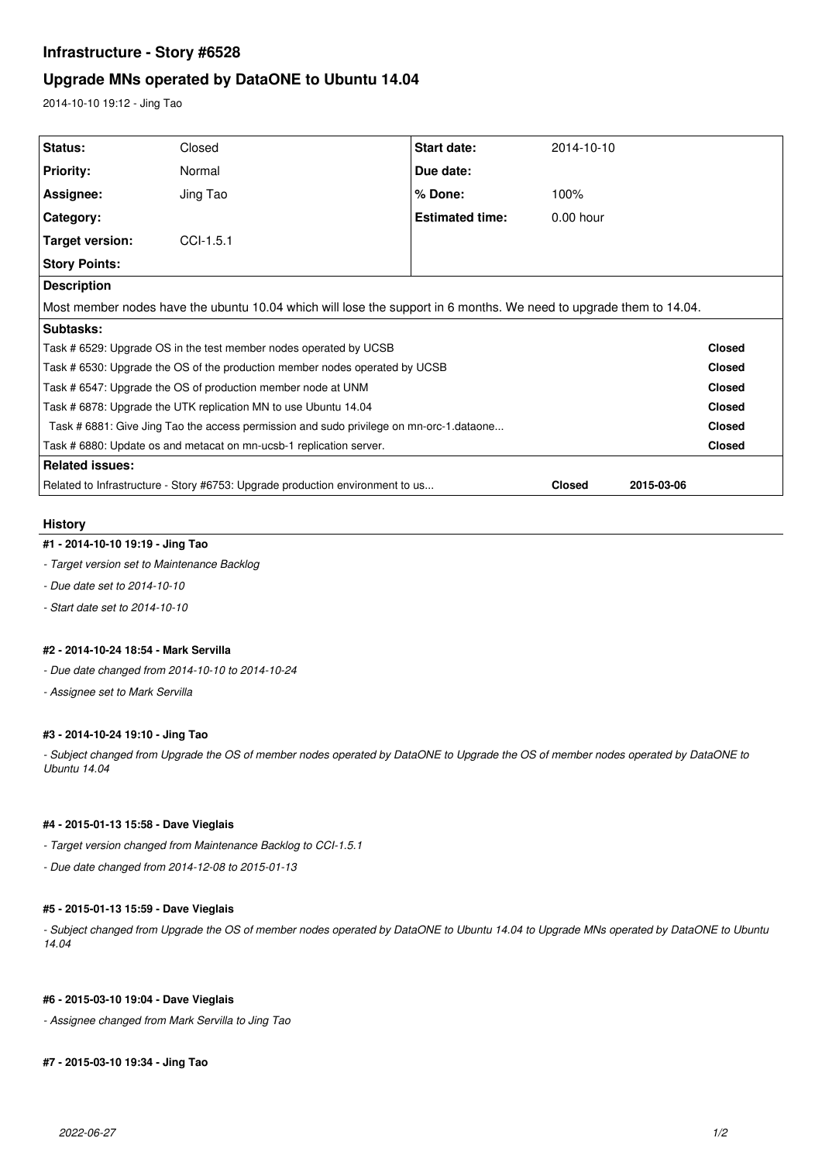# **Infrastructure - Story #6528**

# **Upgrade MNs operated by DataONE to Ubuntu 14.04**

2014-10-10 19:12 - Jing Tao

| Related to Infrastructure - Story #6753: Upgrade production environment to us           |             |                                                                                                                    | <b>Closed</b> | 2015-03-06 |               |
|-----------------------------------------------------------------------------------------|-------------|--------------------------------------------------------------------------------------------------------------------|---------------|------------|---------------|
| <b>Related issues:</b>                                                                  |             |                                                                                                                    |               |            |               |
| Task # 6880: Update os and metacat on mn-ucsb-1 replication server.                     |             |                                                                                                                    |               |            | <b>Closed</b> |
| Task # 6881: Give Jing Tao the access permission and sudo privilege on mn-orc-1.dataone |             |                                                                                                                    |               |            | <b>Closed</b> |
| Task # 6878: Upgrade the UTK replication MN to use Ubuntu 14.04                         |             |                                                                                                                    |               |            | <b>Closed</b> |
| Task #6547: Upgrade the OS of production member node at UNM                             |             |                                                                                                                    |               |            | <b>Closed</b> |
| Task # 6530: Upgrade the OS of the production member nodes operated by UCSB             |             |                                                                                                                    |               |            | <b>Closed</b> |
| Task # 6529: Upgrade OS in the test member nodes operated by UCSB                       |             |                                                                                                                    |               |            | <b>Closed</b> |
| Subtasks:                                                                               |             |                                                                                                                    |               |            |               |
|                                                                                         |             | Most member nodes have the ubuntu 10.04 which will lose the support in 6 months. We need to upgrade them to 14.04. |               |            |               |
| <b>Description</b>                                                                      |             |                                                                                                                    |               |            |               |
| <b>Story Points:</b>                                                                    |             |                                                                                                                    |               |            |               |
| Target version:                                                                         | $CCI-1.5.1$ |                                                                                                                    |               |            |               |
| Category:                                                                               |             | <b>Estimated time:</b>                                                                                             | $0.00$ hour   |            |               |
| Assignee:                                                                               | Jing Tao    | % Done:                                                                                                            | 100%          |            |               |
| Priority:                                                                               | Normal      | Due date:                                                                                                          |               |            |               |
| <b>Status:</b>                                                                          | Closed      | <b>Start date:</b>                                                                                                 | 2014-10-10    |            |               |

## **History**

## **#1 - 2014-10-10 19:19 - Jing Tao**

- *Target version set to Maintenance Backlog*
- *Due date set to 2014-10-10*
- *Start date set to 2014-10-10*

### **#2 - 2014-10-24 18:54 - Mark Servilla**

- *Due date changed from 2014-10-10 to 2014-10-24*
- *Assignee set to Mark Servilla*

### **#3 - 2014-10-24 19:10 - Jing Tao**

*- Subject changed from Upgrade the OS of member nodes operated by DataONE to Upgrade the OS of member nodes operated by DataONE to Ubuntu 14.04*

## **#4 - 2015-01-13 15:58 - Dave Vieglais**

- *Target version changed from Maintenance Backlog to CCI-1.5.1*
- *Due date changed from 2014-12-08 to 2015-01-13*

### **#5 - 2015-01-13 15:59 - Dave Vieglais**

*- Subject changed from Upgrade the OS of member nodes operated by DataONE to Ubuntu 14.04 to Upgrade MNs operated by DataONE to Ubuntu 14.04*

#### **#6 - 2015-03-10 19:04 - Dave Vieglais**

*- Assignee changed from Mark Servilla to Jing Tao*

## **#7 - 2015-03-10 19:34 - Jing Tao**